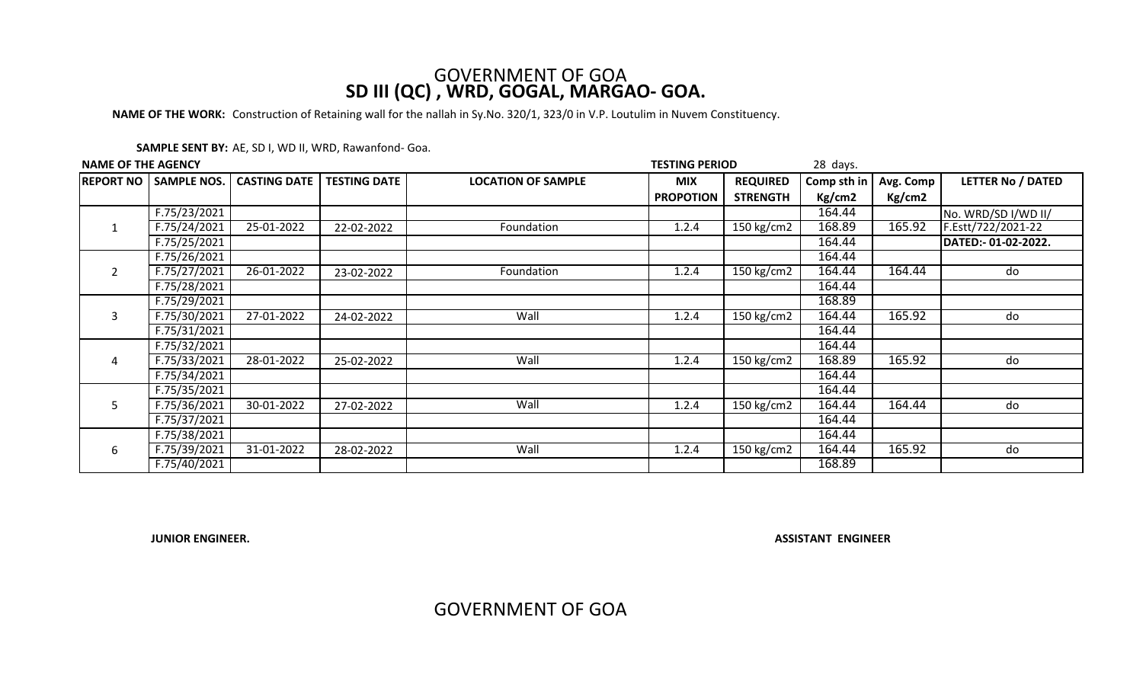## GOVERNMENT OF GOA **SD III (QC) , WRD, GOGAL, MARGAO- GOA.**

**NAME OF THE WORK:** Construction of Retaining wall for the nallah in Sy.No. 320/1, 323/0 in V.P. Loutulim in Nuvem Constituency.

| SAMPLE SENT BY: AE, SD I, WD II, WRD, Rawanfond- Goa. |  |  |  |
|-------------------------------------------------------|--|--|--|
|-------------------------------------------------------|--|--|--|

| <b>NAME OF THE AGENCY</b> |                              |                     |                     | <b>TESTING PERIOD</b><br>28 days. |                  |                 |             |           |                          |
|---------------------------|------------------------------|---------------------|---------------------|-----------------------------------|------------------|-----------------|-------------|-----------|--------------------------|
|                           | <b>REPORT NO SAMPLE NOS.</b> | <b>CASTING DATE</b> | <b>TESTING DATE</b> | <b>LOCATION OF SAMPLE</b>         | <b>MIX</b>       | <b>REQUIRED</b> | Comp sth in | Avg. Comp | <b>LETTER No / DATED</b> |
|                           |                              |                     |                     |                                   | <b>PROPOTION</b> | <b>STRENGTH</b> | Kg/cm2      | Kg/cm2    |                          |
|                           | F.75/23/2021                 |                     |                     |                                   |                  |                 | 164.44      |           | No. WRD/SD I/WD II/      |
|                           | F.75/24/2021                 | 25-01-2022          | 22-02-2022          | Foundation                        | 1.2.4            | 150 kg/cm2      | 168.89      | 165.92    | F.Estt/722/2021-22       |
|                           | F.75/25/2021                 |                     |                     |                                   |                  |                 | 164.44      |           | DATED:-01-02-2022.       |
|                           | F.75/26/2021                 |                     |                     |                                   |                  |                 | 164.44      |           |                          |
| $\overline{2}$            | F.75/27/2021                 | 26-01-2022          | 23-02-2022          | Foundation                        | 1.2.4            | 150 kg/cm2      | 164.44      | 164.44    | do                       |
|                           | F.75/28/2021                 |                     |                     |                                   |                  |                 | 164.44      |           |                          |
|                           | F.75/29/2021                 |                     |                     |                                   |                  |                 | 168.89      |           |                          |
| 3                         | F.75/30/2021                 | 27-01-2022          | 24-02-2022          | Wall                              | 1.2.4            | 150 kg/cm2      | 164.44      | 165.92    | do                       |
|                           | F.75/31/2021                 |                     |                     |                                   |                  |                 | 164.44      |           |                          |
|                           | F.75/32/2021                 |                     |                     |                                   |                  |                 | 164.44      |           |                          |
| 4                         | F.75/33/2021                 | 28-01-2022          | 25-02-2022          | Wall                              | 1.2.4            | 150 kg/cm2      | 168.89      | 165.92    | do                       |
|                           | F.75/34/2021                 |                     |                     |                                   |                  |                 | 164.44      |           |                          |
| 5                         | F.75/35/2021                 |                     |                     |                                   |                  |                 | 164.44      |           |                          |
|                           | F.75/36/2021                 | 30-01-2022          | 27-02-2022          | Wall                              | 1.2.4            | 150 kg/cm2      | 164.44      | 164.44    | do                       |
|                           | F.75/37/2021                 |                     |                     |                                   |                  |                 | 164.44      |           |                          |
|                           | F.75/38/2021                 |                     |                     |                                   |                  |                 | 164.44      |           |                          |
| 6                         | F.75/39/2021                 | 31-01-2022          | 28-02-2022          | Wall                              | 1.2.4            | 150 kg/cm2      | 164.44      | 165.92    | do                       |
|                           | F.75/40/2021                 |                     |                     |                                   |                  |                 | 168.89      |           |                          |

**JUNIOR ENGINEER.**

**ASSISTANT ENGINEER**

GOVERNMENT OF GOA